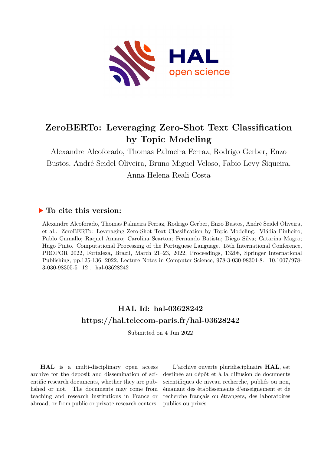

# **ZeroBERTo: Leveraging Zero-Shot Text Classification by Topic Modeling**

Alexandre Alcoforado, Thomas Palmeira Ferraz, Rodrigo Gerber, Enzo Bustos, André Seidel Oliveira, Bruno Miguel Veloso, Fabio Levy Siqueira, Anna Helena Reali Costa

## **To cite this version:**

Alexandre Alcoforado, Thomas Palmeira Ferraz, Rodrigo Gerber, Enzo Bustos, André Seidel Oliveira, et al.. ZeroBERTo: Leveraging Zero-Shot Text Classification by Topic Modeling. Vládia Pinheiro; Pablo Gamallo; Raquel Amaro; Carolina Scarton; Fernando Batista; Diego Silva; Catarina Magro; Hugo Pinto. Computational Processing of the Portuguese Language. 15th International Conference, PROPOR 2022, Fortaleza, Brazil, March 21–23, 2022, Proceedings, 13208, Springer International Publishing, pp.125-136, 2022, Lecture Notes in Computer Science, 978-3-030-98304-8. 10.1007/978-3-030-98305-5 $\,$  12 . hal-03628242

## **HAL Id: hal-03628242 <https://hal.telecom-paris.fr/hal-03628242>**

Submitted on 4 Jun 2022

**HAL** is a multi-disciplinary open access archive for the deposit and dissemination of scientific research documents, whether they are published or not. The documents may come from teaching and research institutions in France or abroad, or from public or private research centers.

L'archive ouverte pluridisciplinaire **HAL**, est destinée au dépôt et à la diffusion de documents scientifiques de niveau recherche, publiés ou non, émanant des établissements d'enseignement et de recherche français ou étrangers, des laboratoires publics ou privés.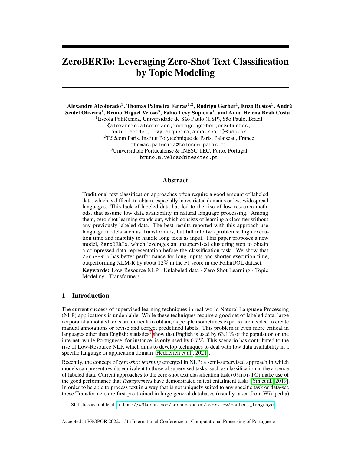## ZeroBERTo: Leveraging Zero-Shot Text Classification by Topic Modeling

Alexandre Alcoforado $^1$ , Thomas Palmeira Ferraz $^{1,2}$ , Rodrigo Gerber $^1$ , Enzo Bustos $^1$ , André Seidel Oliveira $^1$ , Bruno Miguel Veloso $^3$ , Fabio Levy Siqueira $^1$ , and Anna Helena Reali Costa $^1$ 

<sup>1</sup>Escola Politécnica, Universidade de São Paulo (USP), São Paulo, Brazil {alexandre.alcoforado,rodrigo.gerber,enzobustos, andre.seidel,levy.siqueira,anna.reali}@usp.br <sup>2</sup>Télécom Paris, Institut Polytechnique de Paris, Palaiseau, France thomas.palmeira@telecom-paris.fr <sup>3</sup>Universidade Portucalense & INESC TEC, Porto, Portugal bruno.m.veloso@inesctec.pt

#### Abstract

Traditional text classification approaches often require a good amount of labeled data, which is difficult to obtain, especially in restricted domains or less widespread languages. This lack of labeled data has led to the rise of low-resource methods, that assume low data availability in natural language processing. Among them, zero-shot learning stands out, which consists of learning a classifier without any previously labeled data. The best results reported with this approach use language models such as Transformers, but fall into two problems: high execution time and inability to handle long texts as input. This paper proposes a new model, ZeroBERTo, which leverages an unsupervised clustering step to obtain a compressed data representation before the classification task. We show that ZeroBERTo has better performance for long inputs and shorter execution time, outperforming XLM-R by about  $12\%$  in the F1 score in the FolhaUOL dataset.

Keywords: Low-Resource NLP · Unlabeled data · Zero-Shot Learning · Topic Modeling · Transformers

## 1 Introduction

The current success of supervised learning techniques in real-world Natural Language Processing (NLP) applications is undeniable. While these techniques require a good set of labeled data, large corpora of annotated texts are difficult to obtain, as people (sometimes experts) are needed to create manual annotations or revise and correct predefined labels. This problem is even more critical in languages other than English: statistics<sup>1</sup> show that English is used by 63.1% of the population on the internet, while Portuguese, for instance, is only used by 0.7 %. This scenario has contributed to the rise of Low-Resource NLP, which aims to develop techniques to deal with low data availability in a specific language or application domain [Hedderich et al., 2021].

Recently, the concept of *zero-shot learning* emerged in NLP: a semi-supervised approach in which models can present results equivalent to those of supervised tasks, such as classification in the absence of labeled data. Current approaches to the zero-shot text classification task (0SHOT-TC) make use of the good performance that *Transformers* have demonstrated in text entailment tasks [Yin et al., 2019]. In order to be able to process text in a way that is not uniquely suited to any specific task or data-set, these Transformers are first pre-trained in large general databases (usually taken from Wikipedia)

<sup>1</sup> Statistics available at: [https://w3techs.com/technologies/overview/content\\_language](https://w3techs.com/technologies/overview/content_language).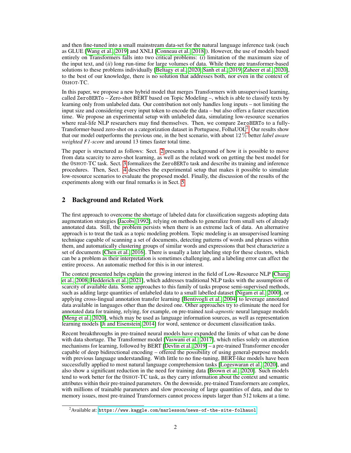and then fine-tuned into a small mainstream data-set for the natural language inference task (such as GLUE [Wang et al., 2019] and XNLI [Conneau et al., 2018]). However, the use of models based entirely on Transformers falls into two critical problems: (*i*) limitation of the maximum size of the input text, and (*ii*) long run-time for large volumes of data. While there are transformer-based solutions to these problems individually [Beltagy et al., 2020, Sanh et al., 2019, Zaheer et al., 2020], to the best of our knowledge, there is no solution that addresses both, nor even in the context of 0SHOT-TC.

In this paper, we propose a new hybrid model that merges Transformers with unsupervised learning, called ZeroBERTo – Zero-shot BERT based on Topic Modeling –, which is able to classify texts by learning only from unlabeled data. Our contribution not only handles long inputs – not limiting the input size and considering every input token to encode the data – but also offers a faster execution time. We propose an experimental setup with unlabeled data, simulating low-resource scenarios where real-life NLP researchers may find themselves. Then, we compare ZeroBERTo to a fully-Transformer-based zero-shot on a categorization dataset in Portuguese, FolhaUOL<sup>2</sup>. Our results show that our model outperforms the previous one, in the best scenario, with about 12 % better *label aware weighted F1-score* and around 13 times faster total time.

The paper is structured as follows: Sect. 2 presents a background of how it is possible to move from data scarcity to zero-shot learning, as well as the related work on getting the best model for the 0SHOT-TC task. Sect. 3 formalizes the ZeroBERTo task and describe its training and inference procedures. Then, Sect. 4 describes the experimental setup that makes it possible to simulate low-resource scenarios to evaluate the proposed model. Finally, the discussion of the results of the experiments along with our final remarks is in Sect. 5.

## 2 Background and Related Work

The first approach to overcome the shortage of labeled data for classification suggests adopting data augmentation strategies [Jacobs, 1992], relying on methods to generalize from small sets of already annotated data. Still, the problem persists when there is an extreme lack of data. An alternative approach is to treat the task as a topic modeling problem. Topic modeling is an unsupervised learning technique capable of scanning a set of documents, detecting patterns of words and phrases within them, and automatically clustering groups of similar words and expressions that best characterize a set of documents [Chen et al., 2016]. There is usually a later labeling step for these clusters, which can be a problem as their interpretation is sometimes challenging, and a labeling error can affect the entire process. An automatic method for this is in our interest.

The context presented helps explain the growing interest in the field of Low-Resource NLP [Chang et al., 2008, Hedderich et al., 2021], which addresses traditional NLP tasks with the assumption of scarcity of available data. Some approaches to this family of tasks propose semi-supervised methods, such as adding large quantities of unlabeled data to a small labelled dataset [Nigam et al., 2000], or applying cross-lingual annotation transfer learning [Bentivogli et al., 2004] to leverage annotated data available in languages other than the desired one. Other approaches try to eliminate the need for annotated data for training, relying, for example, on pre-trained *task-agnostic* neural language models [Meng et al., 2020], which may be used as language information sources, as well as representation learning models [Ji and Eisenstein, 2014] for word, sentence or document classification tasks.

Recent breakthroughs in pre-trained neural models have expanded the limits of what can be done with data shortage. The Transformer model [Vaswani et al., 2017], which relies solely on attention mechanisms for learning, followed by BERT [Devlin et al., 2019] – a pre-trained Transformer encoder capable of deep bidirectional encoding – offered the possibility of using general-purpose models with previous language understanding. With little to no fine-tuning, BERT-like models have been successfully applied to most natural language comprehension tasks [Logeswaran et al., 2020], and also show a significant reduction in the need for training data [Brown et al., 2020]. Such models tend to work better for the 0SHOT-TC task, as they carry information about the context and semantic attributes within their pre-trained parameters. On the downside, pre-trained Transformers are complex, with millions of trainable parameters and slow processing of large quantities of data, and due to memory issues, most pre-trained Transformers cannot process inputs larger than 512 tokens at a time.

 $^{2}$ Available at: <https://www.kaggle.com/marlesson/news-of-the-site-folhauol>.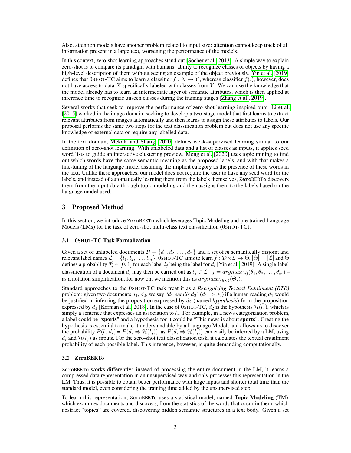Also, attention models have another problem related to input size: attention cannot keep track of all information present in a large text, worsening the performance of the models.

In this context, zero-shot learning approaches stand out [Socher et al., 2013]. A simple way to explain zero-shot is to compare its paradigm with humans' ability to recognize classes of objects by having a high-level description of them without seeing an example of the object previously. Yin et al. [2019] defines that 0SHOT-TC aims to learn a classifier  $f : X \to Y$ , whereas classifier  $f(.)$ , however, does not have access to data  $X$  specifically labeled with classes from  $Y$ . We can use the knowledge that the model already has to learn an intermediate layer of semantic attributes, which is then applied at inference time to recognize unseen classes during the training stages [Zhang et al., 2019].

Several works that seek to improve the performance of zero-shot learning inspired ours. Li et al. [2015] worked in the image domain, seeking to develop a two-stage model that first learns to extract relevant attributes from images automatically and then learns to assign these attributes to labels. Our proposal performs the same two steps for the text classification problem but does not use any specific knowledge of external data or require any labelled data.

In the text domain, Mekala and Shang [2020] defines weak-supervised learning similar to our definition of zero-shot learning. With unlabeled data and a list of classes as inputs, it applies seed word lists to guide an interactive clustering preview. Meng et al. [2020] uses topic mining to find out which words have the same semantic meaning as the proposed labels, and with that makes a fine-tuning of the language model assuming the implicit category as the presence of these words in the text. Unlike these approaches, our model does not require the user to have any seed word for the labels, and instead of automatically learning them from the labels themselves, ZeroBERTo discovers them from the input data through topic modeling and then assigns them to the labels based on the language model used.

## 3 Proposed Method

In this section, we introduce ZeroBERTo which leverages Topic Modeling and pre-trained Language Models (LMs) for the task of zero-shot multi-class text classification (0SHOT-TC).

#### 3.1 0SHOT-TC Task Formalization

Given a set of unlabeled documents  $\mathcal{D} = \{d_1, d_2, \ldots, d_n\}$  and a set of *m* semantically disjoint and relevant label names  $\mathcal{L} = \{l_1, l_2, \ldots, l_m\}$ ,  $\hat{0}$ SHOT-TC aims to learn  $f : \mathcal{D} \times \mathcal{L} \to \Theta$ ,  $|\Theta| = |\mathcal{L}|$  and  $\Theta$ defines a probability  $\theta_j^i \in [0,1]$  for each label  $l_j$  being the label for  $d_i$  [Yin et al., 2019]. A single-label classification of a document  $d_i$  may then be carried out as  $l_j \in \mathcal{L} \mid j = argmax_{(j)} (\theta_1^i, \theta_2^i, \dots, \theta_m^i)$ as a notation simplification, for now on, we mention this as  $argmax_{l \in \mathcal{L}}(\Theta_i)$ .

Standard approaches to the 0SHOT-TC task treat it as a *Recognizing Textual Entailment (RTE)* problem: given two documents  $d_1, d_2$ , we say " $d_1$  *entails*  $d_2$ " ( $d_1 \Rightarrow d_2$ ) if a human reading  $d_1$  would be justified in inferring the proposition expressed by  $d_2$  (named *hypothesis*) from the proposition expressed by  $d_1$  [Korman et al., 2018]. In the case of 0SHOT-TC,  $d_2$  is the hypothesis  $\mathcal{H}(l_j)$ , which is simply a sentence that expresses an association to  $l<sub>j</sub>$ . For example, in a news categorization problem, a label could be "sports" and a hypothesis for it could be "This news is about sports". Creating the hypothesis is essential to make it understandable by a Language Model, and allows us to discover the probability  $P(l_i | d_i) = P(d_i \Rightarrow H(l_i))$ , as  $P(d_i \Rightarrow H(l_i))$  can easily be inferred by a LM, using  $d_i$  and  $\mathcal{H}(l_i)$  as inputs. For the zero-shot text classification task, it calculates the textual entailment probability of each possible label. This inference, however, is quite demanding computationally.

#### 3.2 ZeroBERTo

ZeroBERTo works differently: instead of processing the entire document in the LM, it learns a compressed data representation in an unsupervised way and only processes this representation in the LM. Thus, it is possible to obtain better performance with large inputs and shorter total time than the standard model, even considering the training time added by the unsupervised step.

To learn this representation, ZeroBERTo uses a statistical model, named Topic Modeling (TM), which examines documents and discovers, from the statistics of the words that occur in them, which abstract "topics" are covered, discovering hidden semantic structures in a text body. Given a set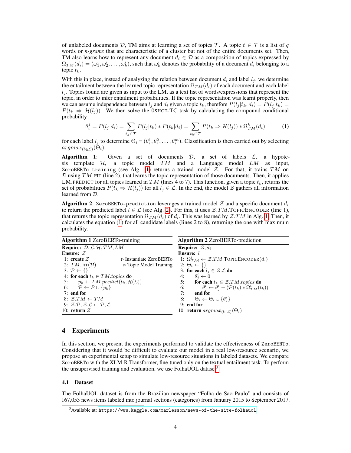of unlabeled documents D, TM aims at learning a set of topics T. A topic  $t \in \mathcal{T}$  is a list of q words or *n-grams* that are characteristic of a cluster but not of the entire documents set. Then, TM also learns how to represent any document  $d_i \in \mathcal{D}$  as a composition of topics expressed by  $\Omega_{TM}(d_i) = (\omega_1^i, \omega_2^i, \dots, \omega_k^i)$ , such that  $\omega_k^i$  denotes the probability of a document  $d_i$  belonging to a topic  $t_k$ .

With this in place, instead of analyzing the relation between document  $d_i$  and label  $l_i$ , we determine the entailment between the learned topic representation  $\Omega_{TM}(d_i)$  of each document and each label  $l_i$ . Topics found are given as input to the LM, as a text list of words/expressions that represent the topic, in order to infer entailment probabilities. If the topic representation was learnt properly, then we can assume independence between  $l_i$  and  $d_i$  given a topic  $t_k$ , therefore  $P(l_i | t_k, d_i) = P(l_i | t_k)$  $P(t_k \Rightarrow \mathcal{H}(l_i))$ . We then solve the 0SHOT-TC task by calculating the compound conditional probability

$$
\theta_i^j = P(l_j|d_i) = \sum_{t_k \in \mathcal{T}} P(l_j|t_k) * P(t_k|d_i) = \sum_{t_k \in \mathcal{T}} P(t_k \Rightarrow \mathcal{H}(l_j)) * \Omega_{TM}^k(d_i)
$$
(1)

for each label  $l_j$  to determine  $\Theta_i = (\theta_i^1, \theta_i^2, \dots, \theta_i^m)$ . Classification is then carried out by selecting  $argmax_{(l \in \mathcal{L})}(\Theta_i).$ 

**Algorithm 1:** Given a set of documents  $D$ , a set of labels  $L$ , a hypotesis template H, a topic model TM and a Language model  $LM$  as input, ZeroBERTo-training (see Alg. 1) returns a trained model  $Z$ . For that, it trains  $TM$  on  $D$  using  $TM$ .FIT (line 2), that learns the topic representation of those documents. Then, it applies LM.PREDICT for all topics learned in TM (lines 4 to 7). This function, given a topic  $t_k$ , returns the set of probabilities  $P(t_k \Rightarrow \mathcal{H}(l_i))$  for all  $l_i \in \mathcal{L}$ . In the end, the model  $\mathcal Z$  gathers all information learned from D.

**Algorithm 2:** ZeroBERTo-prediction leverages a trained model  $Z$  and a specific document  $d_i$ to return the predicted label  $l \in \mathcal{L}$  (see Alg. 2). For this, it uses  $\mathcal{Z}.TM$ . TOPICENCODER (line 1), that returns the topic representation  $\Omega_{TM}(d_i)$  of  $d_i$ . This was learned by  $\mathcal{Z}.TM$  in Alg. 1. Then, it calculates the equation (1) for all candidate labels (lines 2 to 8), returning the one with maximum probability.

| <b>Algorithm 1 ZeroBERTo-training</b>                                                     |  |                                        | <b>Algorithm 2 ZeroBERTo-prediction</b>                    |                                                                              |  |  |
|-------------------------------------------------------------------------------------------|--|----------------------------------------|------------------------------------------------------------|------------------------------------------------------------------------------|--|--|
| <b>Require:</b> $D, \mathcal{L}, \mathcal{H}, TM, LM$                                     |  |                                        | <b>Require:</b> $\mathcal{Z}, d_i$                         |                                                                              |  |  |
| Ensure: $\mathcal Z$                                                                      |  |                                        | Ensure: $l$                                                |                                                                              |  |  |
| 1: create $Z$                                                                             |  | $\triangleright$ Instantiate ZeroBERTo |                                                            | 1: $\Omega^i_{\tau M} \leftarrow \mathcal{Z}.TM$ .TOPICENCODER $(d_i)$       |  |  |
| 2: $TM$ .FIT $(D)$                                                                        |  | $\triangleright$ Topic Model Training  |                                                            | 2: $\Theta_i \leftarrow \{\}$                                                |  |  |
| $3: \mathcal{P} \leftarrow \{\}$                                                          |  |                                        |                                                            | 3: for each $l_i \in \mathcal{Z}.\mathcal{L}$ do                             |  |  |
| 4: for each $t_k \in TM.topics$ do                                                        |  |                                        |                                                            | 4: $\theta_i^i \leftarrow 0$                                                 |  |  |
| 5: $p_k \leftarrow LM.predict(t_k, \mathcal{H}(\mathcal{L}))$                             |  |                                        |                                                            | 5: for each $t_k \in \mathcal{Z}.TM.topics$ do                               |  |  |
| 6: $\mathcal{P} \leftarrow \mathcal{P} \cup \{p_k\}$                                      |  |                                        | 6:                                                         | $\theta_i^i \leftarrow \theta_i^i + (\mathcal{P}(t_k) * \Omega_{TM}^i(t_k))$ |  |  |
| $7:$ end for                                                                              |  |                                        | 7:                                                         | end for                                                                      |  |  |
| 8: $\mathcal{Z}.TM \leftarrow TM$                                                         |  |                                        | 8:                                                         | $\Theta_i \leftarrow \Theta_i \cup \{\theta_i^i\}$                           |  |  |
| 9: $\mathcal{Z}.\mathcal{P}, \mathcal{Z}.\mathcal{L} \leftarrow \mathcal{P}, \mathcal{L}$ |  |                                        |                                                            | $9:$ end for                                                                 |  |  |
| 10: return $Z$                                                                            |  |                                        | 10: <b>return</b> $argmax_{(l \in \mathcal{L})}(\Theta_i)$ |                                                                              |  |  |
|                                                                                           |  |                                        |                                                            |                                                                              |  |  |

## 4 Experiments

In this section, we present the experiments performed to validate the effectiveness of ZeroBERTo. Considering that it would be difficult to evaluate our model in a real low-resource scenario, we propose an experimental setup to simulate low-resource situations in labeled datasets. We compare ZeroBERTo with the XLM-R Transformer, fine-tuned only on the textual entailment task. To perform the unsupervised training and evaluation, we use FolhaUOL dataset<sup>3</sup>.

#### 4.1 Dataset

The FolhaUOL dataset is from the Brazilian newspaper "Folha de São Paulo" and consists of 167,053 news items labeled into journal sections (categories) from January 2015 to September 2017.

 $3$ Available at: <https://www.kaggle.com/marlesson/news-of-the-site-folhauol>.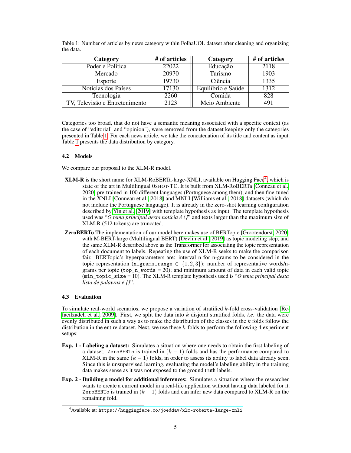| Category                       | # of articles | Category           | # of articles |  |
|--------------------------------|---------------|--------------------|---------------|--|
| Poder e Política               | 22022         | Educação           | 2118          |  |
| Mercado                        | 20970         | Turismo            | 1903          |  |
| Esporte                        | 19730         | Ciência            | 1335          |  |
| Notícias dos Países            | 17130         | Equilíbrio e Saúde | 1312          |  |
| Tecnologia                     | 2260          | Comida             | 828           |  |
| TV, Televisão e Entretenimento | 2123          | Meio Ambiente      | 491           |  |

Table 1: Number of articles by news category within FolhaUOL dataset after cleaning and organizing the data.

Categories too broad, that do not have a semantic meaning associated with a specific context (as the case of "editorial" and "opinion"), were removed from the dataset keeping only the categories presented in Table 1. For each news article, we take the concatenation of its title and content as input. Table 1 presents the data distribution by category.

### 4.2 Models

We compare our proposal to the XLM-R model.

- XLM-R is the short name for XLM-RoBERTa-large-XNLI, available on Hugging Face<sup>4</sup>, which is state of the art in Multilingual 0SHOT-TC. It is built from XLM-RoBERTa [Conneau et al., 2020] pre-trained in 100 different languages (Portuguese among them), and then fine-tuned in the XNLI [Conneau et al., 2018] and MNLI [Williams et al., 2018] datasets (which do not include the Portuguese language). It is already in the zero-shot learning configuration described by Yin et al. [2019] with template hypothesis as input. The template hypothesis used was "*O tema principal desta notícia é {}*" and texts larger than the maximum size of XLM-R (512 tokens) are truncated.
- ZeroBERTo The implementation of our model here makes use of BERTopic [Grootendorst, 2020] with M-BERT-large (Multilingual BERT) [Devlin et al., 2019] as topic modeling step, and the same XLM-R described above as the Transformer for associating the topic representation of each document to labels. Repeating the use of XLM-R seeks to make the comparison fair. BERTopic's hyperparameters are: interval n for n-grams to be considered in the topic representation (n\_grams\_range  $\in \{1, 2, 3\}$ ); number of representative words/ngrams per topic ( $top_n$  words = 20); and minimum amount of data in each valid topic (min\_topic\_size = 10). The XLM-R template hypothesis used is "*O tema principal desta lista de palavras é {}*".

#### 4.3 Evaluation

To simulate real-world scenarios, we propose a variation of stratified k-fold cross-validation [Refaeilzadeh et al., 2009]. First, we split the data into k disjoint stratified folds, *i.e.* the data were evenly distributed in such a way as to make the distribution of the classes in the  $k$  folds follow the distribution in the entire dataset. Next, we use these k-folds to perform the following 4 experiment setups:

- Exp. 1 Labeling a dataset: Simulates a situation where one needs to obtain the first labeling of a dataset. ZeroBERTo is trained in  $(k - 1)$  folds and has the performance compared to XLM-R in the same  $(k - 1)$  folds, in order to assess its ability to label data already seen. Since this is unsupervised learning, evaluating the model's labeling ability in the training data makes sense as it was not exposed to the ground truth labels.
- Exp. 2 Building a model for additional inferences: Simulates a situation where the researcher wants to create a current model in a real-life application without having data labeled for it. ZeroBERTo is trained in  $(k - 1)$  folds and can infer new data compared to XLM-R on the remaining fold.

 $4$ Available at: <https://huggingface.co/joeddav/xlm-roberta-large-xnli>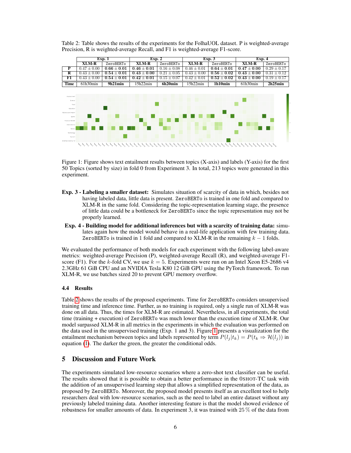Table 2: Table shows the results of the experiments for the FolhaUOL dataset. P is weighted-average Precision, R is weighted-average Recall, and F1 is weighted-average F1-score.

|                         | Exp. 1          |                 | Exp. 2          |                 | Exp. 3          |               | <b>Exp. 4</b>   |                 |
|-------------------------|-----------------|-----------------|-----------------|-----------------|-----------------|---------------|-----------------|-----------------|
|                         | <b>XLM-R</b>    | ZeroBERTo       | <b>XLM-R</b>    | ZeroBERTo       | <b>XLM-R</b>    | ZeroBERTo     | <b>XLM-R</b>    | ZeroBERTo       |
| P                       | $0.47 \pm 0.00$ | $0.66 \pm 0.01$ | $0.46 \pm 0.01$ | $0.16 \pm 0.08$ | $0.46 \pm 0.01$ | $0.64\pm0.01$ | $0.47 \pm 0.00$ | $0.29 \pm 0.17$ |
| $\overline{\mathbf{R}}$ | $0.43 \pm 0.00$ | $0.54\pm0.01$   | $0.43 \pm 0.00$ | $0.21 \pm 0.05$ | $0.43 \pm 0.00$ | $0.56\pm0.02$ | $0.43 \pm 0.00$ | $0.31 \pm 0.12$ |
| F1                      | $0.43 \pm 0.00$ | $0.54\pm0.01$   | $0.42 \pm 0.01$ | $0.15 \pm 0.07$ | $0.42 \pm 0.01$ | $0.52\pm0.02$ | $0.43 \pm 0.00$ | $0.19 \pm 0.17$ |
| <b>Time</b>             | 61h30min        | 9h21min         | 15h22min        | 6h20min         | 15h22min        | 1h10min       | 61h30min        | 2h25min         |
|                         |                 |                 |                 |                 |                 |               |                 |                 |
| Environment             |                 |                 |                 |                 |                 |               |                 |                 |
| Science                 |                 |                 |                 |                 |                 |               |                 |                 |
| Food                    |                 |                 |                 |                 |                 |               |                 |                 |
| Education               |                 |                 |                 |                 |                 |               |                 |                 |
| Balance and Health      |                 |                 |                 |                 |                 |               |                 |                 |
| Sports                  |                 |                 |                 |                 |                 |               |                 |                 |
| <b>Financial Market</b> |                 |                 |                 |                 |                 |               |                 |                 |

Figure 1: Figure shows text entailment results between topics (X-axis) and labels (Y-axis) for the first 50 Topics (sorted by size) in fold 0 from Experiment 3. In total, 213 topics were generated in this experiment.

- Exp. 3 Labeling a smaller dataset: Simulates situation of scarcity of data in which, besides not having labeled data, little data is present. ZeroBERTo is trained in one fold and compared to XLM-R in the same fold. Considering the topic-representation learning stage, the presence of little data could be a bottleneck for ZeroBERTo since the topic representation may not be properly learned.
- Exp. 4 Building model for additional inferences but with a scarcity of training data: simulates again how the model would behave in a real-life application with few training data. ZeroBERTo is trained in 1 fold and compared to XLM-R in the remaining  $k - 1$  folds.

We evaluated the performance of both models for each experiment with the following label-aware metrics: weighted-average Precision (P), weighted-average Recall (R), and weighted-average F1 score (F1). For the k-fold CV, we use  $k = 5$ . Experiments were run on an Intel Xeon E5-2686 v4 2.3GHz 61 GiB CPU and an NVIDIA Tesla K80 12 GiB GPU using the PyTorch framework. To run XLM-R, we use batches sized 20 to prevent GPU memory overflow.

#### 4.4 Results

Table 2 shows the results of the proposed experiments. Time for ZeroBERTo considers unsupervised training time and inference time. Further, as no training is required, only a single run of XLM-R was done on all data. Thus, the times for XLM-R are estimated. Nevertheless, in all experiments, the total time (training + execution) of ZeroBERTo was much lower than the execution time of XLM-R. Our model surpassed XLM-R in all metrics in the experiments in which the evaluation was performed on the data used in the unsupervised training (Exp. 1 and 3). Figure 1 presents a visualization for the entailment mechanism between topics and labels represented by term  $P(l_i | t_k) = P(t_k \Rightarrow H(l_i))$  in equation (1). The darker the green, the greater the conditional odds.

## 5 Discussion and Future Work

The experiments simulated low-resource scenarios where a zero-shot text classifier can be useful. The results showed that it is possible to obtain a better performance in the 0SHOT-TC task with the addition of an unsupervised learning step that allows a simplified representation of the data, as proposed by ZeroBERTo. Moreover, the proposed model presents itself as an excellent tool to help researchers deal with low-resource scenarios, such as the need to label an entire dataset without any previously labeled training data. Another interesting feature is that the model showed evidence of robustness for smaller amounts of data. In experiment 3, it was trained with  $25\%$  of the data from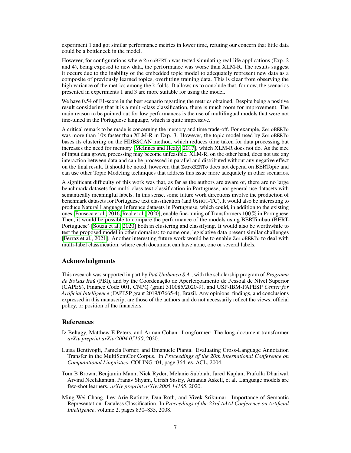experiment 1 and got similar performance metrics in lower time, refuting our concern that little data could be a bottleneck in the model.

However, for configurations where ZeroBERTo was tested simulating real-life applications (Exp. 2 and 4), being exposed to new data, the performance was worse than XLM-R. The results suggest it occurs due to the inability of the embedded topic model to adequately represent new data as a composite of previously learned topics, overfitting training data. This is clear from observing the high variance of the metrics among the k-folds. It allows us to conclude that, for now, the scenarios presented in experiments 1 and 3 are more suitable for using the model.

We have 0.54 of F1-score in the best scenario regarding the metrics obtained. Despite being a positive result considering that it is a multi-class classification, there is much room for improvement. The main reason to be pointed out for low performances is the use of multilingual models that were not fine-tuned in the Portuguese language, which is quite impressive.

A critical remark to be made is concerning the memory and time trade-off. For example, ZeroBERTo was more than 10x faster than XLM-R in Exp. 3. However, the topic model used by ZeroBERTo bases its clustering on the HDBSCAN method, which reduces time taken for data processing but increases the need for memory [McInnes and Healy, 2017], which XLM-R does not do. As the size of input data grows, processing may become unfeasible. XLM-R, on the other hand, does not use any interaction between data and can be processed in parallel and distributed without any negative effect on the final result. It should be noted, however, that ZeroBERTo does not depend on BERTopic and can use other Topic Modeling techniques that address this issue more adequately in other scenarios.

A significant difficulty of this work was that, as far as the authors are aware of, there are no large benchmark datasets for multi-class text classification in Portuguese, nor general use datasets with semantically meaningful labels. In this sense, some future work directions involve the production of benchmark datasets for Portuguese text classification (and 0SHOT-TC). It would also be interesting to produce Natural Language Inference datasets in Portuguese, which could, in addition to the existing ones [Fonseca et al., 2016, Real et al., 2020], enable fine-tuning of Transformers 100 % in Portuguese. Then, it would be possible to compare the performance of the models using BERTimbau (BERT-Portuguese) [Souza et al., 2020] both in clustering and classifying. It would also be worthwhile to test the proposed model in other domains: to name one, legislative data present similar challenges [Ferraz et al., 2021]. Another interesting future work would be to enable ZeroBERTo to deal with multi-label classification, where each document can have none, one or several labels.

## Acknowledgments

This research was supported in part by *Itaú Unibanco S.A.*, with the scholarship program of *Programa de Bolsas Itaú* (PBI), and by the Coordenação de Aperfeiçoamento de Pessoal de Nível Superior (CAPES), Finance Code 001, CNPQ (grant 310085/2020-9), and USP-IBM-FAPESP *Center for Artificial Intelligence* (FAPESP grant 2019/07665-4), Brazil. Any opinions, findings, and conclusions expressed in this manuscript are those of the authors and do not necessarily reflect the views, official policy, or position of the financiers.

### References

- Iz Beltagy, Matthew E Peters, and Arman Cohan. Longformer: The long-document transformer. *arXiv preprint arXiv:2004.05150*, 2020.
- Luisa Bentivogli, Pamela Forner, and Emanuele Pianta. Evaluating Cross-Language Annotation Transfer in the MultiSemCor Corpus. In *Proceedings of the 20th International Conference on Computational Linguistics*, COLING '04, page 364–es. ACL, 2004.
- Tom B Brown, Benjamin Mann, Nick Ryder, Melanie Subbiah, Jared Kaplan, Prafulla Dhariwal, Arvind Neelakantan, Pranav Shyam, Girish Sastry, Amanda Askell, et al. Language models are few-shot learners. *arXiv preprint arXiv:2005.14165*, 2020.
- Ming-Wei Chang, Lev-Arie Ratinov, Dan Roth, and Vivek Srikumar. Importance of Semantic Representation: Dataless Classification. In *Proceedings of the 23rd AAAI Conference on Artificial Intelligence*, volume 2, pages 830–835, 2008.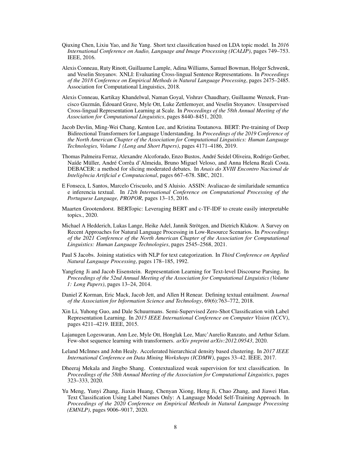- Qiuxing Chen, Lixiu Yao, and Jie Yang. Short text classification based on LDA topic model. In *2016 International Conference on Audio, Language and Image Processing (ICALIP)*, pages 749–753. IEEE, 2016.
- Alexis Conneau, Ruty Rinott, Guillaume Lample, Adina Williams, Samuel Bowman, Holger Schwenk, and Veselin Stoyanov. XNLI: Evaluating Cross-lingual Sentence Representations. In *Proceedings of the 2018 Conference on Empirical Methods in Natural Language Processing*, pages 2475–2485. Association for Computational Linguistics, 2018.
- Alexis Conneau, Kartikay Khandelwal, Naman Goyal, Vishrav Chaudhary, Guillaume Wenzek, Francisco Guzmán, Édouard Grave, Myle Ott, Luke Zettlemoyer, and Veselin Stoyanov. Unsupervised Cross-lingual Representation Learning at Scale. In *Proceedings of the 58th Annual Meeting of the Association for Computational Linguistics*, pages 8440–8451, 2020.
- Jacob Devlin, Ming-Wei Chang, Kenton Lee, and Kristina Toutanova. BERT: Pre-training of Deep Bidirectional Transformers for Language Understanding. In *Proceedings of the 2019 Conference of the North American Chapter of the Association for Computational Linguistics: Human Language Technologies, Volume 1 (Long and Short Papers)*, pages 4171–4186, 2019.
- Thomas Palmeira Ferraz, Alexandre Alcoforado, Enzo Bustos, André Seidel Oliveira, Rodrigo Gerber, Naíde Müller, André Corrêa d'Almeida, Bruno Miguel Veloso, and Anna Helena Reali Costa. DEBACER: a method for slicing moderated debates. In *Anais do XVIII Encontro Nacional de Inteligência Artificial e Computacional*, pages 667–678. SBC, 2021.
- E Fonseca, L Santos, Marcelo Criscuolo, and S Aluisio. ASSIN: Avaliacao de similaridade semantica e inferencia textual. In *12th International Conference on Computational Processing of the Portuguese Language, PROPOR*, pages 13–15, 2016.
- Maarten Grootendorst. BERTopic: Leveraging BERT and c-TF-IDF to create easily interpretable topics., 2020.
- Michael A Hedderich, Lukas Lange, Heike Adel, Jannik Strötgen, and Dietrich Klakow. A Survey on Recent Approaches for Natural Language Processing in Low-Resource Scenarios. In *Proceedings of the 2021 Conference of the North American Chapter of the Association for Computational Linguistics: Human Language Technologies*, pages 2545–2568, 2021.
- Paul S Jacobs. Joining statistics with NLP for text categorization. In *Third Conference on Applied Natural Language Processing*, pages 178–185, 1992.
- Yangfeng Ji and Jacob Eisenstein. Representation Learning for Text-level Discourse Parsing. In *Proceedings of the 52nd Annual Meeting of the Association for Computational Linguistics (Volume 1: Long Papers)*, pages 13–24, 2014.
- Daniel Z Korman, Eric Mack, Jacob Jett, and Allen H Renear. Defining textual entailment. *Journal of the Association for Information Science and Technology*, 69(6):763–772, 2018.
- Xin Li, Yuhong Guo, and Dale Schuurmans. Semi-Supervised Zero-Shot Classification with Label Representation Learning. In *2015 IEEE International Conference on Computer Vision (ICCV)*, pages 4211–4219. IEEE, 2015.
- Lajanugen Logeswaran, Ann Lee, Myle Ott, Honglak Lee, Marc'Aurelio Ranzato, and Arthur Szlam. Few-shot sequence learning with transformers. *arXiv preprint arXiv:2012.09543*, 2020.
- Leland McInnes and John Healy. Accelerated hierarchical density based clustering. In *2017 IEEE International Conference on Data Mining Workshops (ICDMW)*, pages 33–42. IEEE, 2017.
- Dheeraj Mekala and Jingbo Shang. Contextualized weak supervision for text classification. In *Proceedings of the 58th Annual Meeting of the Association for Computational Linguistics*, pages 323–333, 2020.
- Yu Meng, Yunyi Zhang, Jiaxin Huang, Chenyan Xiong, Heng Ji, Chao Zhang, and Jiawei Han. Text Classification Using Label Names Only: A Language Model Self-Training Approach. In *Proceedings of the 2020 Conference on Empirical Methods in Natural Language Processing (EMNLP)*, pages 9006–9017, 2020.